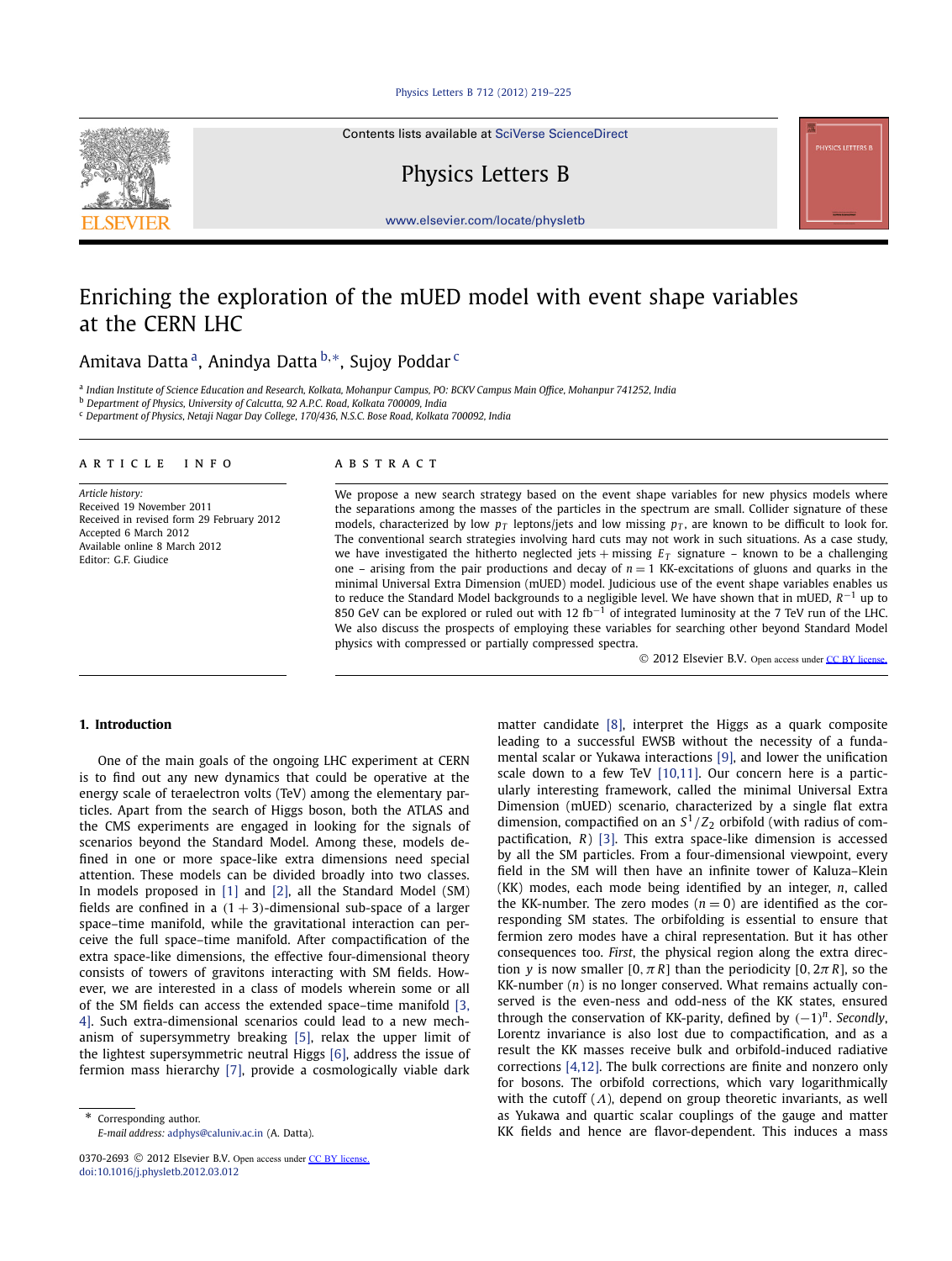### [Physics Letters B 712 \(2012\) 219–225](http://dx.doi.org/10.1016/j.physletb.2012.03.012)

Contents lists available at [SciVerse ScienceDirect](http://www.ScienceDirect.com/)

Physics Letters B

[www.elsevier.com/locate/physletb](http://www.elsevier.com/locate/physletb)

# Enriching the exploration of the mUED model with event shape variables at the CERN LHC

Amitava Datta a, Anindya Datta <sup>b</sup>*,*∗, Sujoy Poddar <sup>c</sup>

<sup>a</sup> *Indian Institute of Science Education and Research, Kolkata, Mohanpur Campus, PO: BCKV Campus Main Office, Mohanpur 741252, India*

<sup>b</sup> *Department of Physics, University of Calcutta, 92 A.P.C. Road, Kolkata 700009, India*

<sup>c</sup> *Department of Physics, Netaji Nagar Day College, 170/436, N.S.C. Bose Road, Kolkata 700092, India*

## article info abstract

*Article history:* Received 19 November 2011 Received in revised form 29 February 2012 Accepted 6 March 2012 Available online 8 March 2012 Editor: G.F. Giudice

We propose a new search strategy based on the event shape variables for new physics models where the separations among the masses of the particles in the spectrum are small. Collider signature of these models, characterized by low  $p_T$  leptons/jets and low missing  $p_T$ , are known to be difficult to look for. The conventional search strategies involving hard cuts may not work in such situations. As a case study, we have investigated the hitherto neglected jets  $+$  missing  $E_T$  signature – known to be a challenging one – arising from the pair productions and decay of  $n = 1$  KK-excitations of gluons and quarks in the minimal Universal Extra Dimension (mUED) model. Judicious use of the event shape variables enables us to reduce the Standard Model backgrounds to a negligible level. We have shown that in mUED, *R*−<sup>1</sup> up to 850 GeV can be explored or ruled out with 12 fb<sup>-1</sup> of integrated luminosity at the 7 TeV run of the LHC. We also discuss the prospects of employing these variables for searching other beyond Standard Model physics with compressed or partially compressed spectra.

© 2012 Elsevier B.V. Open access under [CC BY license.](http://creativecommons.org/licenses/by/3.0/)

### **1. Introduction**

One of the main goals of the ongoing LHC experiment at CERN is to find out any new dynamics that could be operative at the energy scale of teraelectron volts (TeV) among the elementary particles. Apart from the search of Higgs boson, both the ATLAS and the CMS experiments are engaged in looking for the signals of scenarios beyond the Standard Model. Among these, models defined in one or more space-like extra dimensions need special attention. These models can be divided broadly into two classes. In models proposed in [\[1\]](#page-6-0) and [\[2\],](#page-6-0) all the Standard Model (SM) fields are confined in a  $(1 + 3)$ -dimensional sub-space of a larger space–time manifold, while the gravitational interaction can perceive the full space–time manifold. After compactification of the extra space-like dimensions, the effective four-dimensional theory consists of towers of gravitons interacting with SM fields. However, we are interested in a class of models wherein some or all of the SM fields can access the extended space–time manifold [\[3,](#page-6-0) [4\].](#page-6-0) Such extra-dimensional scenarios could lead to a new mechanism of supersymmetry breaking [\[5\],](#page-6-0) relax the upper limit of the lightest supersymmetric neutral Higgs [\[6\],](#page-6-0) address the issue of fermion mass hierarchy [\[7\],](#page-6-0) provide a cosmologically viable dark

matter candidate [\[8\],](#page-6-0) interpret the Higgs as a quark composite leading to a successful EWSB without the necessity of a fundamental scalar or Yukawa interactions [\[9\],](#page-6-0) and lower the unification scale down to a few TeV [\[10,11\].](#page-6-0) Our concern here is a particularly interesting framework, called the minimal Universal Extra Dimension (mUED) scenario, characterized by a single flat extra dimension, compactified on an  $S^1/Z_2$  orbifold (with radius of compactification, *R*) [\[3\].](#page-6-0) This extra space-like dimension is accessed by all the SM particles. From a four-dimensional viewpoint, every field in the SM will then have an infinite tower of Kaluza–Klein (KK) modes, each mode being identified by an integer, *n*, called the KK-number. The zero modes  $(n = 0)$  are identified as the corresponding SM states. The orbifolding is essential to ensure that fermion zero modes have a chiral representation. But it has other consequences too. *First*, the physical region along the extra direction *y* is now smaller  $[0, \pi R]$  than the periodicity  $[0, 2\pi R]$ , so the KK-number (*n*) is no longer conserved. What remains actually conserved is the even-ness and odd-ness of the KK states, ensured through the conservation of KK-parity, defined by *(*−1*) <sup>n</sup>*. *Secondly*, Lorentz invariance is also lost due to compactification, and as a result the KK masses receive bulk and orbifold-induced radiative corrections [\[4,12\].](#page-6-0) The bulk corrections are finite and nonzero only for bosons. The orbifold corrections, which vary logarithmically with the cutoff (*Λ*), depend on group theoretic invariants, as well as Yukawa and quartic scalar couplings of the gauge and matter KK fields and hence are flavor-dependent. This induces a mass



Corresponding author. *E-mail address:* [adphys@caluniv.ac.in](mailto:adphys@caluniv.ac.in) (A. Datta).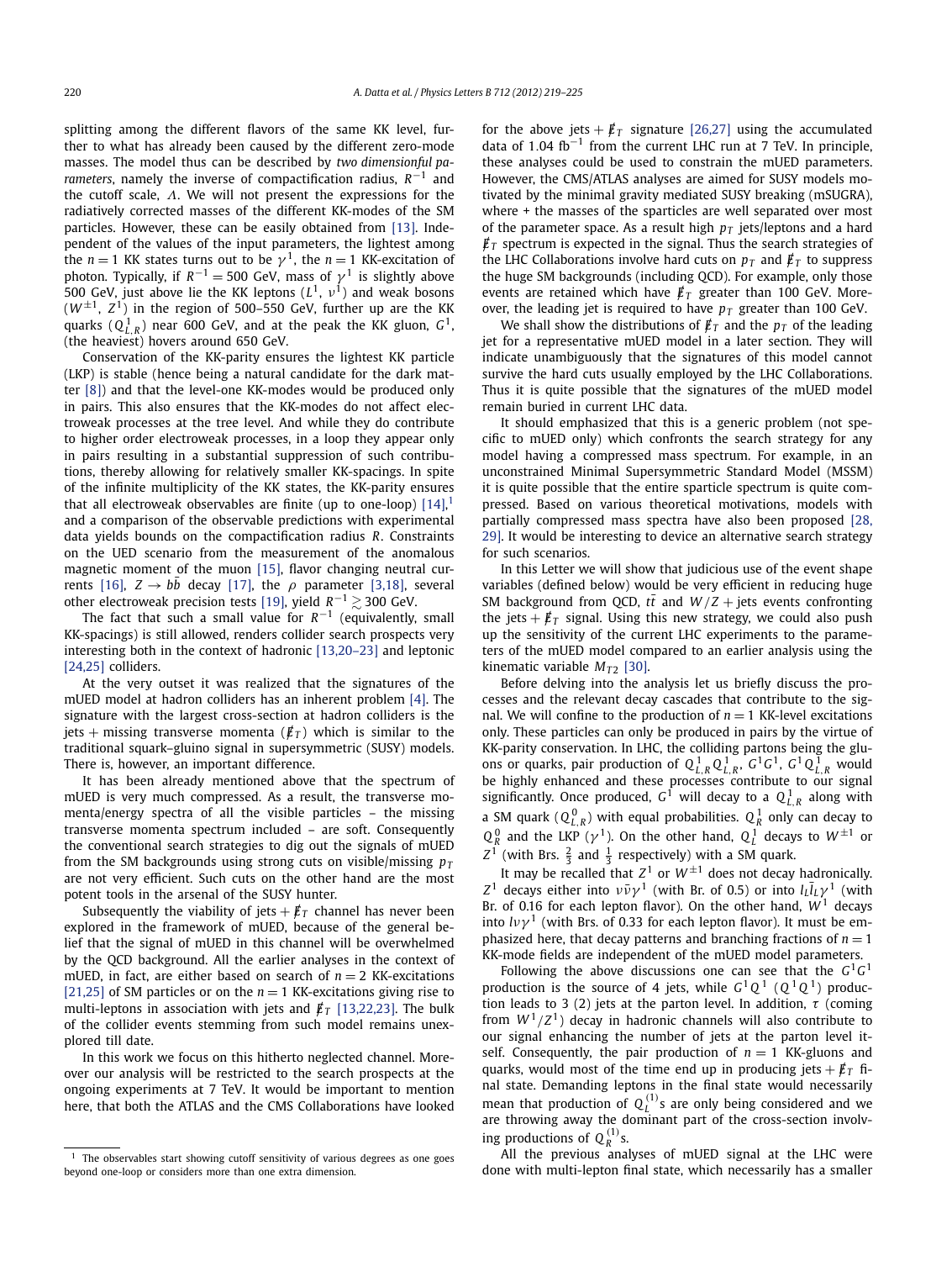splitting among the different flavors of the same KK level, further to what has already been caused by the different zero-mode masses. The model thus can be described by *two dimensionful parameters*, namely the inverse of compactification radius, *R*−<sup>1</sup> and the cutoff scale, *Λ*. We will not present the expressions for the radiatively corrected masses of the different KK-modes of the SM particles. However, these can be easily obtained from [\[13\].](#page-6-0) Independent of the values of the input parameters, the lightest among the *n* = 1 KK states turns out to be  $\gamma^1$ , the *n* = 1 KK-excitation of photon. Typically, if  $R^{-1} = 500$  GeV, mass of  $\gamma^1$  is slightly above 500 GeV, just above lie the KK leptons (*L*1, *ν*1) and weak bosons  $(W^{\pm 1}, Z^1)$  in the region of 500–550 GeV, further up are the KK quarks  $(Q_{L,R}^1)$  near 600 GeV, and at the peak the KK gluon,  $G^1$ , (the heaviest) hovers around 650 GeV.

Conservation of the KK-parity ensures the lightest KK particle (LKP) is stable (hence being a natural candidate for the dark matter [\[8\]\)](#page-6-0) and that the level-one KK-modes would be produced only in pairs. This also ensures that the KK-modes do not affect electroweak processes at the tree level. And while they do contribute to higher order electroweak processes, in a loop they appear only in pairs resulting in a substantial suppression of such contributions, thereby allowing for relatively smaller KK-spacings. In spite of the infinite multiplicity of the KK states, the KK-parity ensures that all electroweak observables are finite (up to one-loop)  $[14]$ ,  $[14]$ and a comparison of the observable predictions with experimental data yields bounds on the compactification radius *R*. Constraints on the UED scenario from the measurement of the anomalous magnetic moment of the muon [\[15\],](#page-6-0) flavor changing neutral cur-rents [\[16\],](#page-6-0)  $Z \rightarrow b\bar{b}$  decay [\[17\],](#page-6-0) the  $\rho$  parameter [\[3,18\],](#page-6-0) several other electroweak precision tests [\[19\],](#page-6-0) yield  $R^{-1} \gtrsim 300$  GeV.

The fact that such a small value for  $R^{-1}$  (equivalently, small KK-spacings) is still allowed, renders collider search prospects very interesting both in the context of hadronic [\[13,20–23\]](#page-6-0) and leptonic [\[24,25\]](#page-6-0) colliders.

At the very outset it was realized that the signatures of the mUED model at hadron colliders has an inherent problem [\[4\].](#page-6-0) The signature with the largest cross-section at hadron colliders is the jets + missing transverse momenta ( $\not \! \! E_T$ ) which is similar to the traditional squark–gluino signal in supersymmetric (SUSY) models. There is, however, an important difference.

It has been already mentioned above that the spectrum of mUED is very much compressed. As a result, the transverse momenta/energy spectra of all the visible particles – the missing transverse momenta spectrum included – are soft. Consequently the conventional search strategies to dig out the signals of mUED from the SM backgrounds using strong cuts on visible/missing  $p_T$ are not very efficient. Such cuts on the other hand are the most potent tools in the arsenal of the SUSY hunter.

Subsequently the viability of jets  $+ \cancel{E}_T$  channel has never been explored in the framework of mUED, because of the general belief that the signal of mUED in this channel will be overwhelmed by the QCD background. All the earlier analyses in the context of mUED, in fact, are either based on search of  $n = 2$  KK-excitations [\[21,25\]](#page-6-0) of SM particles or on the  $n = 1$  KK-excitations giving rise to multi-leptons in association with jets and  $\vec{E}_T$  [\[13,22,23\].](#page-6-0) The bulk of the collider events stemming from such model remains unexplored till date.

In this work we focus on this hitherto neglected channel. Moreover our analysis will be restricted to the search prospects at the ongoing experiments at 7 TeV. It would be important to mention here, that both the ATLAS and the CMS Collaborations have looked for the above jets  $+$   $/ \!\!\!E_T$  signature [\[26,27\]](#page-6-0) using the accumulated data of 1*.*04 fb−<sup>1</sup> from the current LHC run at 7 TeV. In principle, these analyses could be used to constrain the mUED parameters. However, the CMS/ATLAS analyses are aimed for SUSY models motivated by the minimal gravity mediated SUSY breaking (mSUGRA), where + the masses of the sparticles are well separated over most of the parameter space. As a result high  $p<sub>T</sub>$  jets/leptons and a hard  $\not\!\!E_T$  spectrum is expected in the signal. Thus the search strategies of the LHC Collaborations involve hard cuts on  $p_T$  and  $\vec{E}_T$  to suppress the huge SM backgrounds (including QCD). For example, only those events are retained which have  $\not{E}_T$  greater than 100 GeV. Moreover, the leading jet is required to have  $p_T$  greater than 100 GeV.

We shall show the distributions of  $\not\!\vec{E}_T$  and the  $p_T$  of the leading jet for a representative mUED model in a later section. They will indicate unambiguously that the signatures of this model cannot survive the hard cuts usually employed by the LHC Collaborations. Thus it is quite possible that the signatures of the mUED model remain buried in current LHC data.

It should emphasized that this is a generic problem (not specific to mUED only) which confronts the search strategy for any model having a compressed mass spectrum. For example, in an unconstrained Minimal Supersymmetric Standard Model (MSSM) it is quite possible that the entire sparticle spectrum is quite compressed. Based on various theoretical motivations, models with partially compressed mass spectra have also been proposed [\[28,](#page-6-0) [29\].](#page-6-0) It would be interesting to device an alternative search strategy for such scenarios.

In this Letter we will show that judicious use of the event shape variables (defined below) would be very efficient in reducing huge SM background from QCD,  $t\bar{t}$  and  $W/Z$  + jets events confronting the jets  $+ \not{E}_T$  signal. Using this new strategy, we could also push up the sensitivity of the current LHC experiments to the parameters of the mUED model compared to an earlier analysis using the kinematic variable  $M_{T2}$  [\[30\].](#page-6-0)

Before delving into the analysis let us briefly discuss the processes and the relevant decay cascades that contribute to the signal. We will confine to the production of  $n = 1$  KK-level excitations only. These particles can only be produced in pairs by the virtue of KK-parity conservation. In LHC, the colliding partons being the gluons or quarks, pair production of  $Q_{L,R}^1 Q_{L,R}^1$ ,  $G^1 G^1$ ,  $G^1 Q_{L,R}^1$  would be highly enhanced and these processes contribute to our signal significantly. Once produced,  $G^1$  will decay to a  $Q_{L,R}^1$  along with a SM quark  $(Q_{L,R}^0)$  with equal probabilities.  $Q_R^1$  only can decay to  $Q_R^0$  and the LKP ( $\gamma^1$ ). On the other hand,  $Q_L^1$  decays to  $W^{\pm 1}$  or  $Z^1$  (with Brs.  $\frac{2}{3}$  and  $\frac{1}{3}$  respectively) with a SM quark.

It may be recalled that  $Z^1$  or  $W^{\pm 1}$  does not decay hadronically. *Z*<sup>1</sup> decays either into  $\nu \bar{\nu} \gamma$ <sup>1</sup> (with Br. of 0.5) or into  $l_L \bar{l}_L \gamma$ <sup>1</sup> (with Br. of 0.16 for each lepton flavor). On the other hand,  $W<sup>1</sup>$  decays into  $l\nu\gamma^1$  (with Brs. of 0.33 for each lepton flavor). It must be emphasized here, that decay patterns and branching fractions of  $n = 1$ KK-mode fields are independent of the mUED model parameters.

Following the above discussions one can see that the  $G^1G^1$ production is the source of 4 jets, while  $G^1Q^1$  ( $Q^1Q^1$ ) production leads to 3 (2) jets at the parton level. In addition, *τ* (coming from  $W^1/Z^1$ ) decay in hadronic channels will also contribute to our signal enhancing the number of jets at the parton level itself. Consequently, the pair production of  $n = 1$  KK-gluons and quarks, would most of the time end up in producing jets  $+ \cancel{E}_T$  final state. Demanding leptons in the final state would necessarily mean that production of  $Q_L^{(1)}$ s are only being considered and we are throwing away the dominant part of the cross-section involving productions of  $Q_R^{(1)}$ s.

All the previous analyses of mUED signal at the LHC were done with multi-lepton final state, which necessarily has a smaller

The observables start showing cutoff sensitivity of various degrees as one goes beyond one-loop or considers more than one extra dimension.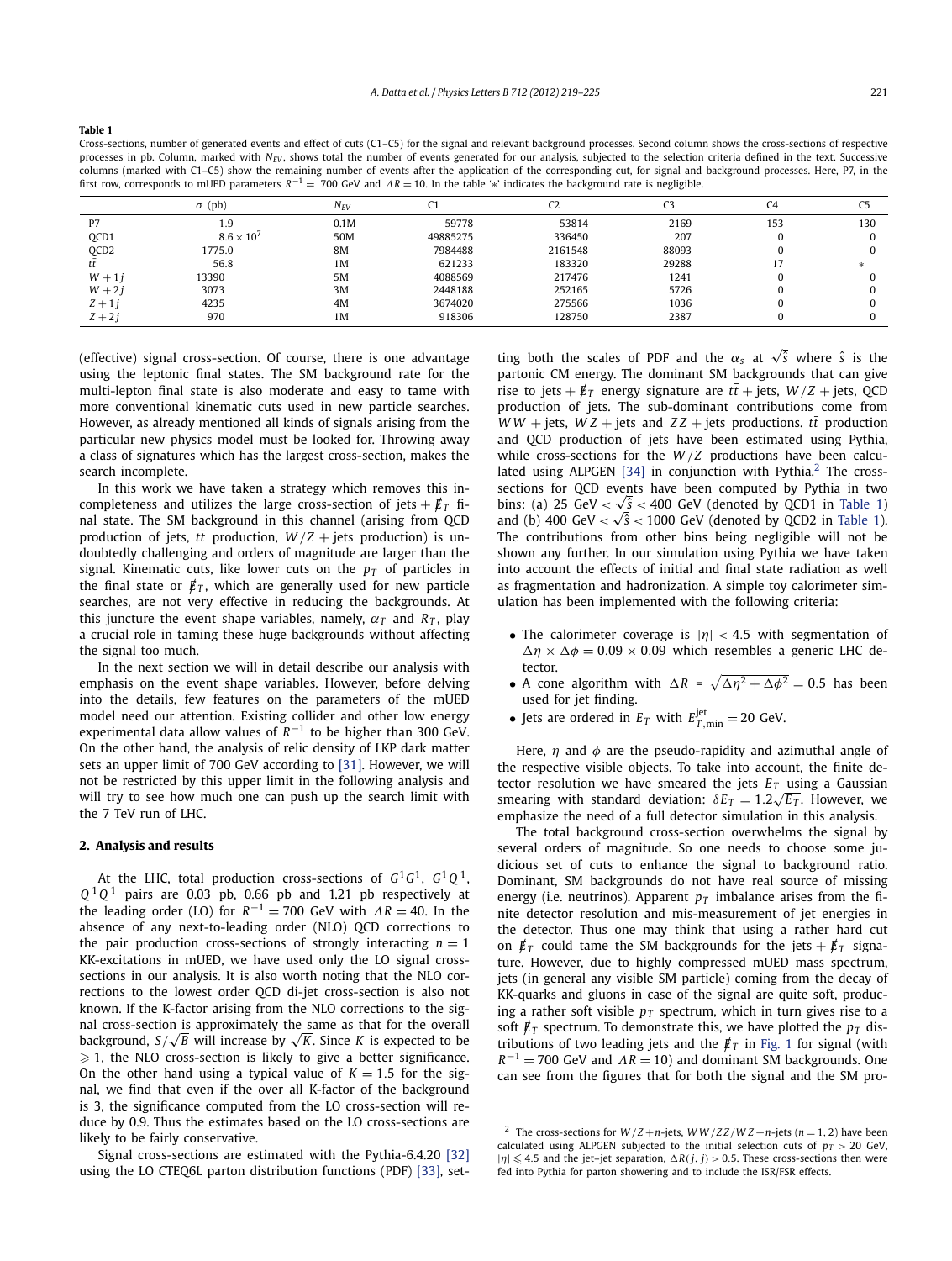<span id="page-2-0"></span>**Table 1**

Cross-sections, number of generated events and effect of cuts (C1–C5) for the signal and relevant background processes. Second column shows the cross-sections of respective processes in pb. Column, marked with *N<sub>EV</sub>*, shows total the number of events generated for our analysis, subjected to the selection criteria defined in the text. Successive columns (marked with C1–C5) show the remaining number of events after the application of the corresponding cut, for signal and background processes. Here, P7, in the first row, corresponds to mUED parameters *R*−<sup>1</sup> = 700 GeV and *ΛR* = 10. In the table '∗' indicates the background rate is negligible.

|                  | $\sigma$ (pb)       | N <sub>EV</sub> |          |         | C3    | C4  | C5     |
|------------------|---------------------|-----------------|----------|---------|-------|-----|--------|
| P7               | 1.9                 | 0.1M            | 59778    | 53814   | 2169  | 153 | 130    |
| QCD1             | $8.6 \times 10^{7}$ | 50M             | 49885275 | 336450  | 207   |     |        |
| QCD <sub>2</sub> | 1775.0              | <b>8M</b>       | 7984488  | 2161548 | 88093 |     |        |
| ιι               | 56.8                | 1 <sub>M</sub>  | 621233   | 183320  | 29288 |     | $\ast$ |
| $W + 1i$         | 13390               | 5M              | 4088569  | 217476  | 1241  |     |        |
| $W + 2i$         | 3073                | 3M              | 2448188  | 252165  | 5726  |     |        |
| $Z + 1i$         | 4235                | 4M              | 3674020  | 275566  | 1036  |     |        |
| $Z + 2i$         | 970                 | 1 <sub>M</sub>  | 918306   | 128750  | 2387  |     |        |

(effective) signal cross-section. Of course, there is one advantage using the leptonic final states. The SM background rate for the multi-lepton final state is also moderate and easy to tame with more conventional kinematic cuts used in new particle searches. However, as already mentioned all kinds of signals arising from the particular new physics model must be looked for. Throwing away a class of signatures which has the largest cross-section, makes the search incomplete.

In this work we have taken a strategy which removes this incompleteness and utilizes the large cross-section of jets  $+ \cancel{\not{E}}_T$  final state. The SM background in this channel (arising from QCD production of jets,  $t\bar{t}$  production,  $W/Z$  + jets production) is undoubtedly challenging and orders of magnitude are larger than the signal. Kinematic cuts, like lower cuts on the  $p<sub>T</sub>$  of particles in the final state or  $\vec{E}_T$ , which are generally used for new particle searches, are not very effective in reducing the backgrounds. At this juncture the event shape variables, namely,  $\alpha_T$  and  $R_T$ , play a crucial role in taming these huge backgrounds without affecting the signal too much.

In the next section we will in detail describe our analysis with emphasis on the event shape variables. However, before delving into the details, few features on the parameters of the mUED model need our attention. Existing collider and other low energy experimental data allow values of *R*−<sup>1</sup> to be higher than 300 GeV. On the other hand, the analysis of relic density of LKP dark matter sets an upper limit of 700 GeV according to [\[31\].](#page-6-0) However, we will not be restricted by this upper limit in the following analysis and will try to see how much one can push up the search limit with the 7 TeV run of LHC.

## **2. Analysis and results**

At the LHC, total production cross-sections of *G*1*G*1, *G*1*Q* 1,  $Q<sup>1</sup>Q<sup>1</sup>$  pairs are 0.03 pb, 0.66 pb and 1.21 pb respectively at the leading order (LO) for  $R^{-1} = 700$  GeV with  $\Lambda R = 40$ . In the absence of any next-to-leading order (NLO) QCD corrections to the pair production cross-sections of strongly interacting  $n = 1$ KK-excitations in mUED, we have used only the LO signal crosssections in our analysis. It is also worth noting that the NLO corrections to the lowest order QCD di-jet cross-section is also not known. If the K-factor arising from the NLO corrections to the signal cross-section is approximately the same as that for the overall nai cross-section is approximately the same as that for the overall<br>background, S/√*B* will increase by √*K*. Since *K* is expected to be  $\geqslant$  1, the NLO cross-section is likely to give a better significance. On the other hand using a typical value of  $K = 1.5$  for the signal, we find that even if the over all K-factor of the background is 3, the significance computed from the LO cross-section will reduce by 0.9. Thus the estimates based on the LO cross-sections are likely to be fairly conservative.

Signal cross-sections are estimated with the Pythia-6.4.20 [\[32\]](#page-6-0) using the LO CTEQ6L parton distribution functions (PDF) [\[33\],](#page-6-0) set-

ting both the scales of PDF and the  $\alpha_s$  at  $\sqrt{\hat{s}}$  where  $\hat{s}$  is the partonic CM energy. The dominant SM backgrounds that can give rise to jets +  $\not{\pounds}_T$  energy signature are  $t\bar{t}$  + jets,  $W/Z$  + jets, QCD production of jets. The sub-dominant contributions come from *WW* + jets, *WZ* + jets and *ZZ* + jets productions. *tt* production and QCD production of jets have been estimated using Pythia, while cross-sections for the *W* /*Z* productions have been calcu-lated using ALPGEN [\[34\]](#page-6-0) in conjunction with Pythia.<sup>2</sup> The crosssections for QCD events have been computed by Pythia in two sections for QCD events have been computed by Pythia in two<br>bins: (a) 25 GeV  $<\sqrt{s}<$  400 GeV (denoted by QCD1 in Table 1) bins: (a) 25 GeV  $\langle \sqrt{s} \times 400$  GeV (denoted by QCD1 in Table 1).<br>and (b) 400 GeV  $\langle \sqrt{s} \times 1000$  GeV (denoted by QCD2 in Table 1). The contributions from other bins being negligible will not be shown any further. In our simulation using Pythia we have taken into account the effects of initial and final state radiation as well as fragmentation and hadronization. A simple toy calorimeter simulation has been implemented with the following criteria:

- The calorimeter coverage is |*η*| *<* 4*.*5 with segmentation of  $\Delta \eta \times \Delta \phi = 0.09 \times 0.09$  which resembles a generic LHC detector.
- A cone algorithm with  $\Delta R = \sqrt{\Delta \eta^2 + \Delta \phi^2} = 0.5$  has been used for jet finding.
- Jets are ordered in  $E_T$  with  $E_{T,\text{min}}^{\text{jet}} = 20$  GeV.

Here, *η* and *φ* are the pseudo-rapidity and azimuthal angle of the respective visible objects. To take into account, the finite detector resolution we have smeared the jets  $E_T$  using a Gaussian smearing with standard deviation: *δET* = 1*.*2 <sup>√</sup>*ET* . However, we emphasize the need of a full detector simulation in this analysis.

The total background cross-section overwhelms the signal by several orders of magnitude. So one needs to choose some judicious set of cuts to enhance the signal to background ratio. Dominant, SM backgrounds do not have real source of missing energy (i.e. neutrinos). Apparent  $p<sub>T</sub>$  imbalance arises from the finite detector resolution and mis-measurement of jet energies in the detector. Thus one may think that using a rather hard cut on  $\vec{E}_T$  could tame the SM backgrounds for the jets  $+$   $\vec{E}_T$  signature. However, due to highly compressed mUED mass spectrum, jets (in general any visible SM particle) coming from the decay of KK-quarks and gluons in case of the signal are quite soft, producing a rather soft visible  $p<sub>T</sub>$  spectrum, which in turn gives rise to a soft  $\rlap{\,/}E_T$  spectrum. To demonstrate this, we have plotted the  $p_T$  distributions of two leading jets and the  $\not\hspace{-.15cm}/_{T}$  in [Fig. 1](#page-3-0) for signal (with  $R^{-1}$  = 700 GeV and  $\Lambda R$  = 10) and dominant SM backgrounds. One can see from the figures that for both the signal and the SM pro-

<sup>&</sup>lt;sup>2</sup> The cross-sections for  $W/Z + n$ -jets,  $WW/ZZ/WZ + n$ -jets ( $n = 1, 2$ ) have been calculated using ALPGEN subjected to the initial selection cuts of  $p_T > 20$  GeV,  $|\eta| \leq 4.5$  and the jet-jet separation,  $\Delta R(j, j) > 0.5$ . These cross-sections then were fed into Pythia for parton showering and to include the ISR/FSR effects.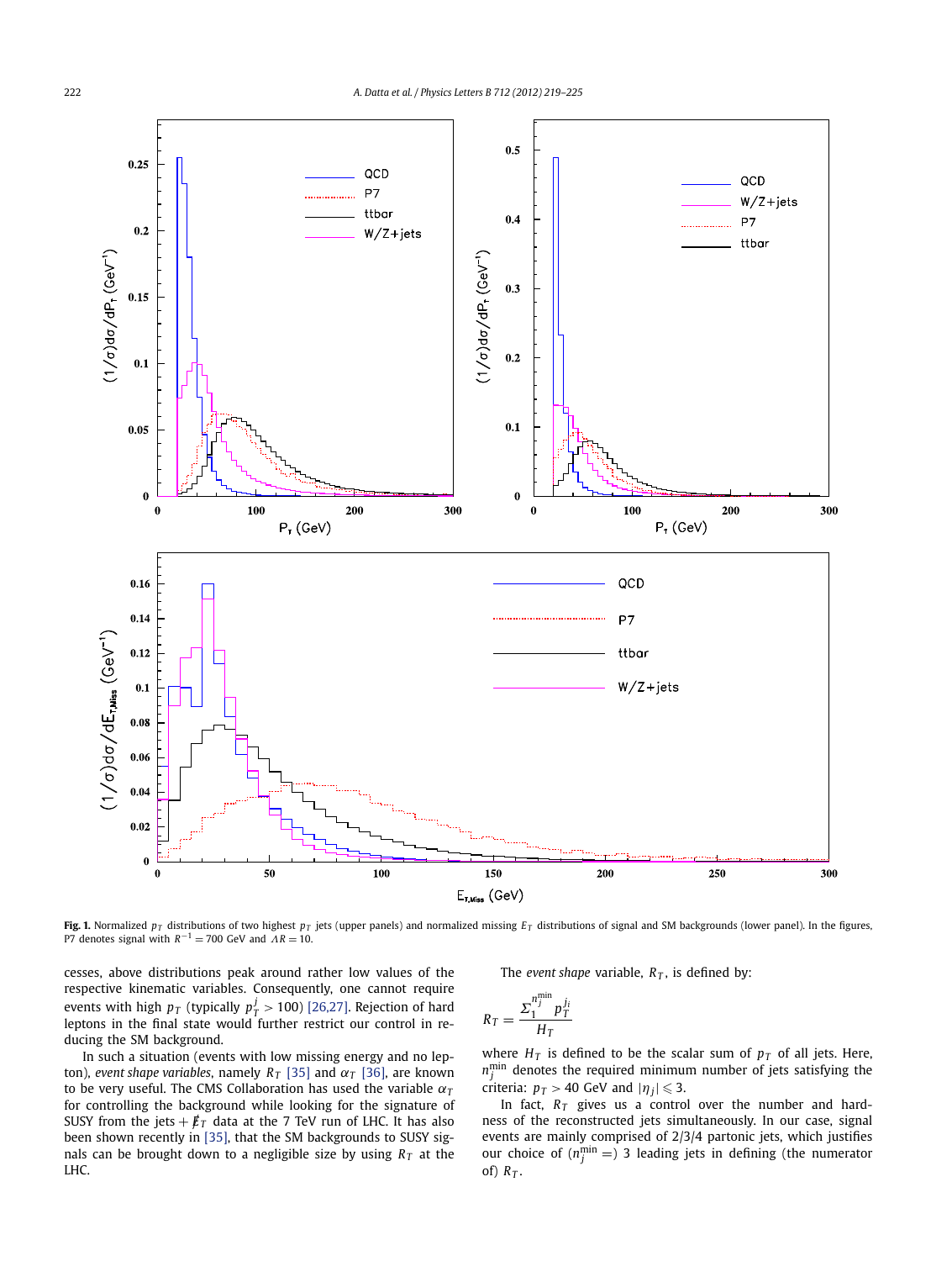<span id="page-3-0"></span>

**Fig. 1.** Normalized  $p_T$  distributions of two highest  $p_T$  jets (upper panels) and normalized missing  $E_T$  distributions of signal and SM backgrounds (lower panel). In the figures, P7 denotes signal with  $R^{-1} = 700$  GeV and  $\overline{AR} = 10$ .

cesses, above distributions peak around rather low values of the respective kinematic variables. Consequently, one cannot require events with high  $p_T$  (typically  $p_T^j > 100$ ) [\[26,27\].](#page-6-0) Rejection of hard leptons in the final state would further restrict our control in reducing the SM background.

In such a situation (events with low missing energy and no lepton), *event shape variables*, namely  $R_T$  [\[35\]](#page-6-0) and  $\alpha_T$  [\[36\],](#page-6-0) are known to be very useful. The CMS Collaboration has used the variable *α<sup>T</sup>* for controlling the background while looking for the signature of SUSY from the jets  $+ \cancel{\not{E}}_T$  data at the 7 TeV run of LHC. It has also been shown recently in [\[35\],](#page-6-0) that the SM backgrounds to SUSY signals can be brought down to a negligible size by using  $R<sub>T</sub>$  at the LHC.

The *event shape* variable,  $R<sub>T</sub>$ , is defined by:

$$
R_T = \frac{\Sigma_1^{n_j^{\min}} p_T^{j_i}}{H_T}
$$

where  $H_T$  is defined to be the scalar sum of  $p_T$  of all jets. Here,  $n_j^{\text{min}}$  denotes the required minimum number of jets satisfying the criteria:  $p_T > 40$  GeV and  $|\eta_j| \leq 3$ .

In fact,  $R_T$  gives us a control over the number and hardness of the reconstructed jets simultaneously. In our case, signal events are mainly comprised of 2/3/4 partonic jets, which justifies our choice of  $(n_j^{\text{min}} =)$  3 leading jets in defining (the numerator of)  $R_T$ .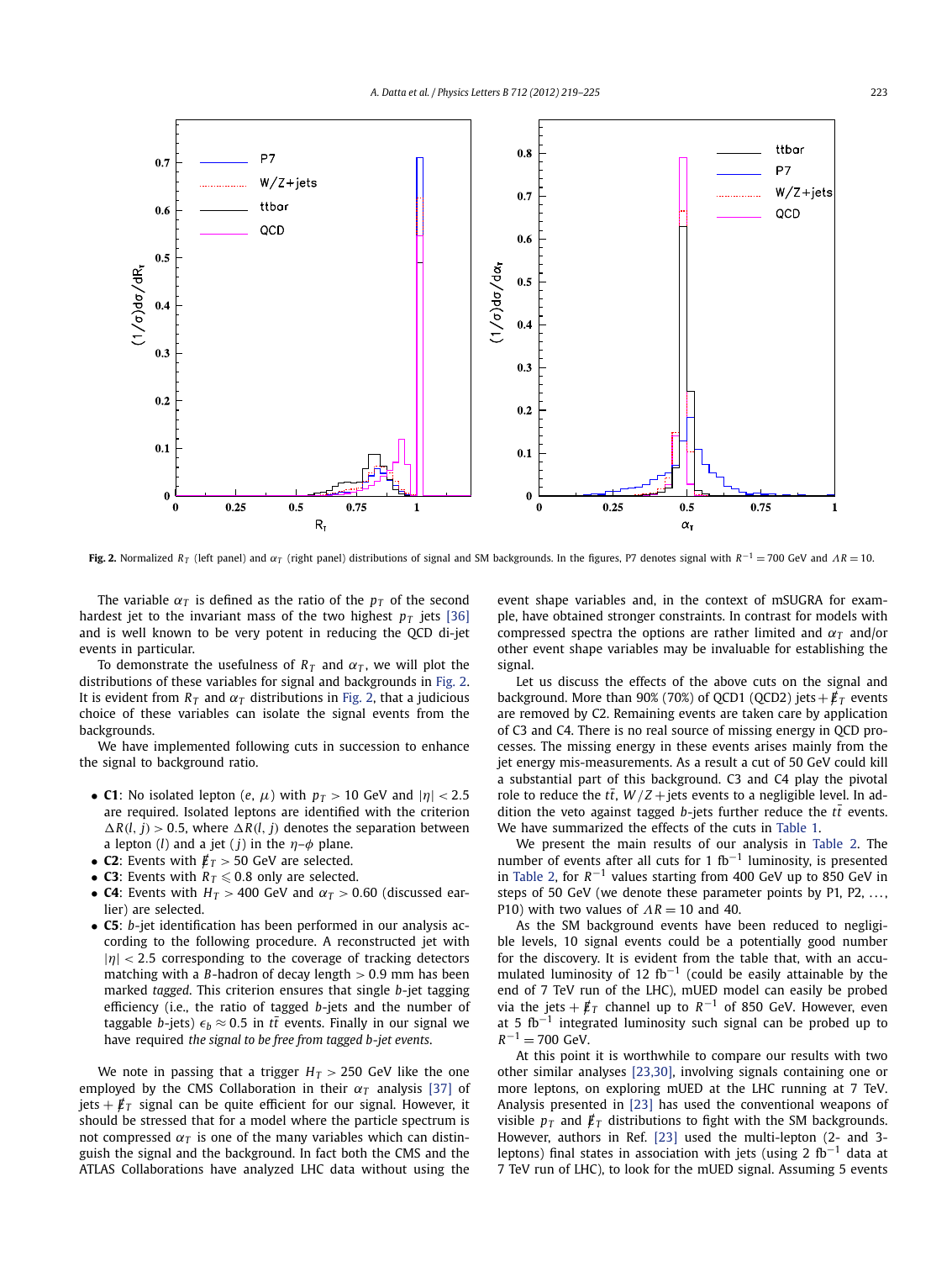

**Fig. 2.** Normalized *RT* (left panel) and *α<sup>T</sup>* (right panel) distributions of signal and SM backgrounds. In the figures, P7 denotes signal with *<sup>R</sup>*−<sup>1</sup> = 700 GeV and *Λ<sup>R</sup>* = 10.

The variable  $\alpha_T$  is defined as the ratio of the  $p_T$  of the second hardest jet to the invariant mass of the two highest  $p<sub>T</sub>$  jets [\[36\]](#page-6-0) and is well known to be very potent in reducing the QCD di-jet events in particular.

To demonstrate the usefulness of  $R<sub>T</sub>$  and  $\alpha<sub>T</sub>$ , we will plot the distributions of these variables for signal and backgrounds in Fig. 2. It is evident from  $R_T$  and  $\alpha_T$  distributions in Fig. 2, that a judicious choice of these variables can isolate the signal events from the backgrounds.

We have implemented following cuts in succession to enhance the signal to background ratio.

- **C1**: No isolated lepton (*e*,  $\mu$ ) with  $p_T > 10$  GeV and  $|\eta| < 2.5$ are required. Isolated leptons are identified with the criterion  $\Delta R(l, j) > 0.5$ , where  $\Delta R(l, j)$  denotes the separation between a lepton (*l*) and a jet (*j*) in the  $\eta$ - $\phi$  plane.
- **C2**: Events with */ET >* 50 GeV are selected.
- **C3**: Events with  $R_T \le 0.8$  only are selected.
- **C4**: Events with  $H_T > 400$  GeV and  $\alpha_T > 0.60$  (discussed earlier) are selected.
- **C5**: *b*-jet identification has been performed in our analysis according to the following procedure. A reconstructed jet with |*η*| *<* 2*.*5 corresponding to the coverage of tracking detectors matching with a *B*-hadron of decay length *>* 0*.*9 mm has been marked *tagged*. This criterion ensures that single *b*-jet tagging efficiency (i.e., the ratio of tagged *b*-jets and the number of taggable *b*-jets)  $\epsilon_b \approx 0.5$  in  $t\bar{t}$  events. Finally in our signal we have required *the signal to be free from tagged b-jet events*.

We note in passing that a trigger  $H_T > 250$  GeV like the one employed by the CMS Collaboration in their  $\alpha_T$  analysis [\[37\]](#page-6-0) of jets  $+ \not{E}_T$  signal can be quite efficient for our signal. However, it should be stressed that for a model where the particle spectrum is not compressed  $α<sub>T</sub>$  is one of the many variables which can distinguish the signal and the background. In fact both the CMS and the ATLAS Collaborations have analyzed LHC data without using the event shape variables and, in the context of mSUGRA for example, have obtained stronger constraints. In contrast for models with compressed spectra the options are rather limited and  $\alpha_T$  and/or other event shape variables may be invaluable for establishing the signal.

Let us discuss the effects of the above cuts on the signal and background. More than 90% (70%) of QCD1 (QCD2) jets  $+ \cancel{\textbf{E}}_T$  events are removed by C2. Remaining events are taken care by application of C3 and C4. There is no real source of missing energy in QCD processes. The missing energy in these events arises mainly from the jet energy mis-measurements. As a result a cut of 50 GeV could kill a substantial part of this background. C3 and C4 play the pivotal role to reduce the  $t\bar{t}$ ,  $W/Z$  + jets events to a negligible level. In addition the veto against tagged *b*-jets further reduce the  $t\bar{t}$  events. We have summarized the effects of the cuts in [Table 1.](#page-2-0)

We present the main results of our analysis in [Table 2.](#page-5-0) The number of events after all cuts for 1 fb<sup>-1</sup> luminosity, is presented in [Table 2,](#page-5-0) for *R*−<sup>1</sup> values starting from 400 GeV up to 850 GeV in steps of 50 GeV (we denote these parameter points by  $P1$ ,  $P2$ , ..., P10) with two values of  $AR = 10$  and 40.

As the SM background events have been reduced to negligible levels, 10 signal events could be a potentially good number for the discovery. It is evident from the table that, with an accumulated luminosity of 12 fb<sup>-1</sup> (could be easily attainable by the end of 7 TeV run of the LHC), mUED model can easily be probed via the jets +  $/\,\llap/_T$  channel up to  $R^{-1}$  of 850 GeV. However, even at 5  $fb^{-1}$  integrated luminosity such signal can be probed up to  $R^{-1}$  = 700 GeV.

At this point it is worthwhile to compare our results with two other similar analyses [\[23,30\],](#page-6-0) involving signals containing one or more leptons, on exploring mUED at the LHC running at 7 TeV. Analysis presented in [\[23\]](#page-6-0) has used the conventional weapons of visible  $p_T$  and  $\not{E}_T$  distributions to fight with the SM backgrounds. However, authors in Ref. [\[23\]](#page-6-0) used the multi-lepton (2- and 3 leptons) final states in association with jets (using 2 fb<sup>-1</sup> data at 7 TeV run of LHC), to look for the mUED signal. Assuming 5 events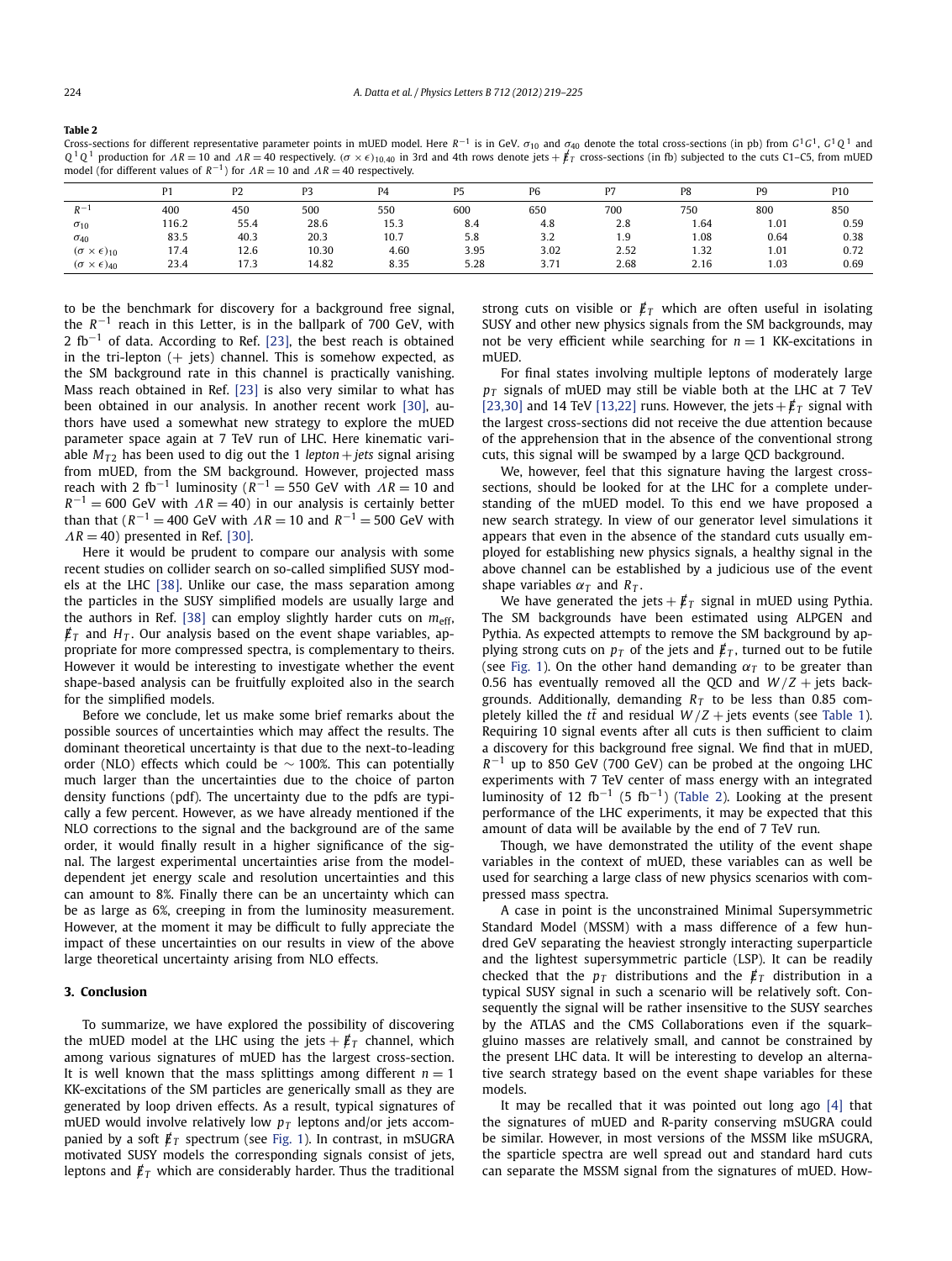#### <span id="page-5-0"></span>**Table 2**

Cross-sections for different representative parameter points in mUED model. Here *<sup>R</sup>*−<sup>1</sup> is in GeV. *σ*<sup>10</sup> and *σ*<sup>40</sup> denote the total cross-sections (in pb) from *<sup>G</sup>*1*G*1, *<sup>G</sup>*<sup>1</sup> *<sup>Q</sup>* <sup>1</sup> and  $Q^1Q^1$  production for  $AR = 10$  and  $AR = 40$  respectively. ( $\sigma \times \epsilon$ )<sub>10.40</sub> in 3rd and 4th rows denote jets +  $\not\!{E}_T$  cross-sections (in fb) subjected to the cuts C1–C5, from mUED model (for different values of  $R^{-1}$ ) for  $\Lambda R = 10$  and  $\Lambda R = 40$  respectively.

|                                 | P <sub>1</sub> | P <sub>2</sub> | P3    | P4   | P <sub>5</sub> | P <sub>6</sub> | P7   | P8   | P <sub>9</sub> | P10  |
|---------------------------------|----------------|----------------|-------|------|----------------|----------------|------|------|----------------|------|
| $D -$                           | 400            | 450            | 500   | 550  | 600            | 650            | 700  | 750  | 800            | 850  |
| $\sigma_{10}$                   | 116.2          | 55.4           | 28.6  | 15.3 | 8.4            | 4.8            | 2.8  | 1.64 | 1.01           | 0.59 |
| $\sigma_{40}$                   | 83.5           | 40.3           | 20.3  | 10.7 | 5.8            | 3.2            | 1.9  | 1.08 | 0.64           | 0.38 |
| $(\sigma \times \epsilon)_{10}$ | 17.4           | 12.6           | 10.30 | 4.60 | 3.95           | 3.02           | 2.52 | 1.32 | 1.01           | 0.72 |
| $(\sigma \times \epsilon)_{40}$ | 23.4           | 17.3           | 14.82 | 8.35 | 5.28           | 3.71           | 2.68 | 2.16 | 1.03           | 0.69 |

to be the benchmark for discovery for a background free signal, the *R*−<sup>1</sup> reach in this Letter, is in the ballpark of 700 GeV, with 2 fb<sup>-1</sup> of data. According to Ref. [\[23\],](#page-6-0) the best reach is obtained in the tri-lepton  $(+)$  jets) channel. This is somehow expected, as the SM background rate in this channel is practically vanishing. Mass reach obtained in Ref. [\[23\]](#page-6-0) is also very similar to what has been obtained in our analysis. In another recent work [\[30\],](#page-6-0) authors have used a somewhat new strategy to explore the mUED parameter space again at 7 TeV run of LHC. Here kinematic variable  $M_{T2}$  has been used to dig out the 1 *lepton* + *jets* signal arising from mUED, from the SM background. However, projected mass reach with 2 fb<sup>-1</sup> luminosity ( $R^{-1}$  = 550 GeV with  $\Lambda R$  = 10 and  $R^{-1} = 600$  GeV with  $\Lambda R = 40$ ) in our analysis is certainly better than that ( $R^{-1}$  = 400 GeV with  $\Lambda R$  = 10 and  $R^{-1}$  = 500 GeV with  $\Lambda R = 40$ ) presented in Ref. [\[30\].](#page-6-0)

Here it would be prudent to compare our analysis with some recent studies on collider search on so-called simplified SUSY models at the LHC [\[38\].](#page-6-0) Unlike our case, the mass separation among the particles in the SUSY simplified models are usually large and the authors in Ref. [\[38\]](#page-6-0) can employ slightly harder cuts on  $m_{\text{eff}}$ ,  $\not\!{E}_T$  and  $H_T$ . Our analysis based on the event shape variables, appropriate for more compressed spectra, is complementary to theirs. However it would be interesting to investigate whether the event shape-based analysis can be fruitfully exploited also in the search for the simplified models.

Before we conclude, let us make some brief remarks about the possible sources of uncertainties which may affect the results. The dominant theoretical uncertainty is that due to the next-to-leading order (NLO) effects which could be  $\sim$  100%. This can potentially much larger than the uncertainties due to the choice of parton density functions (pdf). The uncertainty due to the pdfs are typically a few percent. However, as we have already mentioned if the NLO corrections to the signal and the background are of the same order, it would finally result in a higher significance of the signal. The largest experimental uncertainties arise from the modeldependent jet energy scale and resolution uncertainties and this can amount to 8%. Finally there can be an uncertainty which can be as large as 6%, creeping in from the luminosity measurement. However, at the moment it may be difficult to fully appreciate the impact of these uncertainties on our results in view of the above large theoretical uncertainty arising from NLO effects.

## **3. Conclusion**

To summarize, we have explored the possibility of discovering the mUED model at the LHC using the jets  $+$   $\cancel{E}_T$  channel, which among various signatures of mUED has the largest cross-section. It is well known that the mass splittings among different  $n = 1$ KK-excitations of the SM particles are generically small as they are generated by loop driven effects. As a result, typical signatures of mUED would involve relatively low  $p_T$  leptons and/or jets accompanied by a soft  $\not{\pounds}_T$  spectrum (see [Fig. 1\)](#page-3-0). In contrast, in mSUGRA motivated SUSY models the corresponding signals consist of jets, leptons and  $\vec{E}_T$  which are considerably harder. Thus the traditional strong cuts on visible or  $\vec{E}_T$  which are often useful in isolating SUSY and other new physics signals from the SM backgrounds, may not be very efficient while searching for  $n = 1$  KK-excitations in mUED.

For final states involving multiple leptons of moderately large *pT* signals of mUED may still be viable both at the LHC at 7 TeV [\[23,30\]](#page-6-0) and 14 TeV [\[13,22\]](#page-6-0) runs. However, the jets  $+$   $/ \!\!\!E_T$  signal with the largest cross-sections did not receive the due attention because of the apprehension that in the absence of the conventional strong cuts, this signal will be swamped by a large QCD background.

We, however, feel that this signature having the largest crosssections, should be looked for at the LHC for a complete understanding of the mUED model. To this end we have proposed a new search strategy. In view of our generator level simulations it appears that even in the absence of the standard cuts usually employed for establishing new physics signals, a healthy signal in the above channel can be established by a judicious use of the event shape variables *α<sup>T</sup>* and *RT* .

We have generated the jets  $+ \not{E}_T$  signal in mUED using Pythia. The SM backgrounds have been estimated using ALPGEN and Pythia. As expected attempts to remove the SM background by applying strong cuts on  $p<sub>T</sub>$  of the jets and  $\not\hspace{-.15cm}/_{T}$ , turned out to be futile (see [Fig. 1\)](#page-3-0). On the other hand demanding  $\alpha_T$  to be greater than 0.56 has eventually removed all the OCD and  $W/Z +$  jets backgrounds. Additionally, demanding  $R<sub>T</sub>$  to be less than 0.85 completely killed the  $t\bar{t}$  and residual  $W/Z$  + jets events (see [Table 1\)](#page-2-0). Requiring 10 signal events after all cuts is then sufficient to claim a discovery for this background free signal. We find that in mUED, *R*−<sup>1</sup> up to 850 GeV (700 GeV) can be probed at the ongoing LHC experiments with 7 TeV center of mass energy with an integrated luminosity of 12 fb<sup>-1</sup> (5 fb<sup>-1</sup>) (Table 2). Looking at the present performance of the LHC experiments, it may be expected that this amount of data will be available by the end of 7 TeV run.

Though, we have demonstrated the utility of the event shape variables in the context of mUED, these variables can as well be used for searching a large class of new physics scenarios with compressed mass spectra.

A case in point is the unconstrained Minimal Supersymmetric Standard Model (MSSM) with a mass difference of a few hundred GeV separating the heaviest strongly interacting superparticle and the lightest supersymmetric particle (LSP). It can be readily checked that the  $p_T$  distributions and the  $\not{E}_T$  distribution in a typical SUSY signal in such a scenario will be relatively soft. Consequently the signal will be rather insensitive to the SUSY searches by the ATLAS and the CMS Collaborations even if the squark– gluino masses are relatively small, and cannot be constrained by the present LHC data. It will be interesting to develop an alternative search strategy based on the event shape variables for these models.

It may be recalled that it was pointed out long ago [\[4\]](#page-6-0) that the signatures of mUED and R-parity conserving mSUGRA could be similar. However, in most versions of the MSSM like mSUGRA, the sparticle spectra are well spread out and standard hard cuts can separate the MSSM signal from the signatures of mUED. How